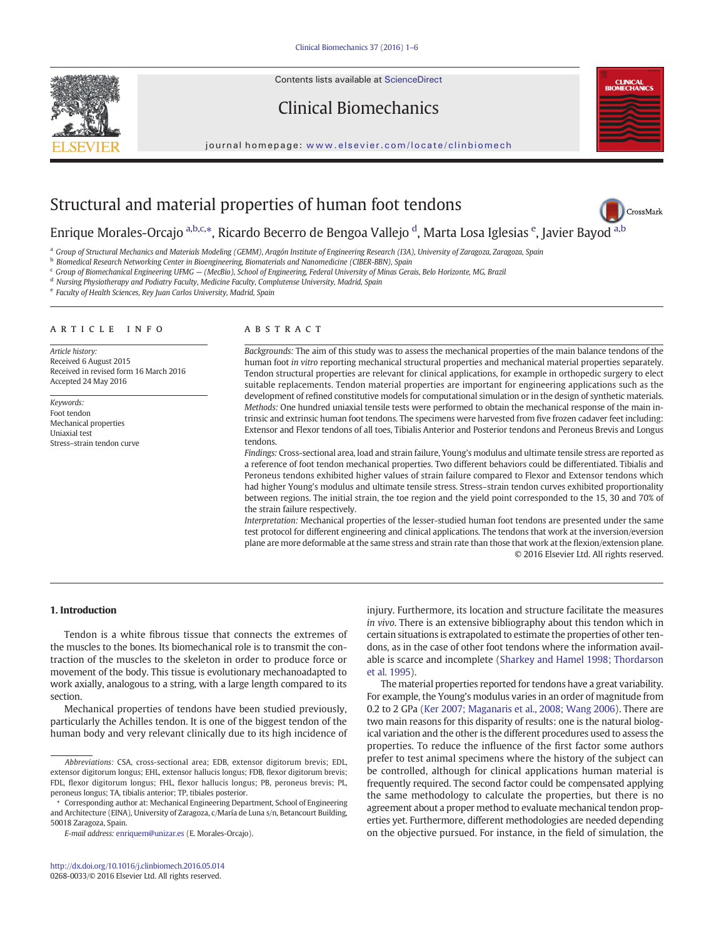Contents lists available at ScienceDirect



Clinical Biomechanics

journal homepage: <www.elsevier.com/locate/clinbiomech>





**CLINICAL**<br>BIOMECHAN

Structural and material properties of human foot tendons

Enrique Morales-Orcajo <sup>[a,b](http://crossmark.crossref.org/dialog/?doi=10.1016/j.clinbiomech.2016.05.014&domain=pdf),c,</sup>\*, Ricardo Becerro de Bengoa Vallejo <sup>d</sup>, Marta Losa Iglesias <sup>e</sup>, Javier Bayod <sup>a,b</sup>

a Group of Structural Mechanics and Materials Modeling (GEMM), Aragón Institute of Engineering Research (I3A), University of Zaragoza, Zaragoza, Spain

**b** Biomedical Research Networking Center in Bioengineering, Biomaterials and Nanomedicine (CIBER-BBN), Spain

<sup>c</sup> Group of Biomechanical Engineering UFMG — (MecBio), School of Engineering, Federal University of Minas Gerais, Belo Horizonte, MG, Brazil

<sup>d</sup> Nursing Physiotherapy and Podiatry Faculty, Medicine Faculty, Complutense University, Madrid, Spain

<sup>e</sup> Faculty of Health Sciences, Rey Juan Carlos University, Madrid, Spain

## article info abstract

Article history: Received 6 August 2015 Received in revised form 16 March 2016 Accepted 24 May 2016

Keywords: Foot tendon Mechanical properties Uniaxial test Stress–strain tendon curve

Backgrounds: The aim of this study was to assess the mechanical properties of the main balance tendons of the human foot in vitro reporting mechanical structural properties and mechanical material properties separately. Tendon structural properties are relevant for clinical applications, for example in orthopedic surgery to elect suitable replacements. Tendon material properties are important for engineering applications such as the development of refined constitutive models for computational simulation or in the design of synthetic materials. Methods: One hundred uniaxial tensile tests were performed to obtain the mechanical response of the main intrinsic and extrinsic human foot tendons. The specimens were harvested from five frozen cadaver feet including: Extensor and Flexor tendons of all toes, Tibialis Anterior and Posterior tendons and Peroneus Brevis and Longus tendons.

Findings: Cross-sectional area, load and strain failure, Young's modulus and ultimate tensile stress are reported as a reference of foot tendon mechanical properties. Two different behaviors could be differentiated. Tibialis and Peroneus tendons exhibited higher values of strain failure compared to Flexor and Extensor tendons which had higher Young's modulus and ultimate tensile stress. Stress–strain tendon curves exhibited proportionality between regions. The initial strain, the toe region and the yield point corresponded to the 15, 30 and 70% of the strain failure respectively.

Interpretation: Mechanical properties of the lesser-studied human foot tendons are presented under the same test protocol for different engineering and clinical applications. The tendons that work at the inversion/eversion plane are more deformable at the same stress and strain rate than those that work at the flexion/extension plane. © 2016 Elsevier Ltd. All rights reserved.

# 1. Introduction

Tendon is a white fibrous tissue that connects the extremes of the muscles to the bones. Its biomechanical role is to transmit the contraction of the muscles to the skeleton in order to produce force or movement of the body. This tissue is evolutionary mechanoadapted to work axially, analogous to a string, with a large length compared to its section.

Mechanical properties of tendons have been studied previously, particularly the Achilles tendon. It is one of the biggest tendon of the human body and very relevant clinically due to its high incidence of injury. Furthermore, its location and structure facilitate the measures in vivo. There is an extensive bibliography about this tendon which in certain situations is extrapolated to estimate the properties of other tendons, as in the case of other foot tendons where the information available is scarce and incomplete [\(Sharkey and Hamel 1998; Thordarson](#page-5-0) [et al. 1995](#page-5-0)).

The material properties reported for tendons have a great variability. For example, the Young's modulus varies in an order of magnitude from 0.2 to 2 GPa [\(Ker 2007; Maganaris et al., 2008; Wang 2006](#page-5-0)). There are two main reasons for this disparity of results: one is the natural biological variation and the other is the different procedures used to assess the properties. To reduce the influence of the first factor some authors prefer to test animal specimens where the history of the subject can be controlled, although for clinical applications human material is frequently required. The second factor could be compensated applying the same methodology to calculate the properties, but there is no agreement about a proper method to evaluate mechanical tendon properties yet. Furthermore, different methodologies are needed depending on the objective pursued. For instance, in the field of simulation, the

Abbreviations: CSA, cross-sectional area; EDB, extensor digitorum brevis; EDL, extensor digitorum longus; EHL, extensor hallucis longus; FDB, flexor digitorum brevis; FDL, flexor digitorum longus; FHL, flexor hallucis longus; PB, peroneus brevis; PL, peroneus longus; TA, tibialis anterior; TP, tibiales posterior.

<sup>⁎</sup> Corresponding author at: Mechanical Engineering Department, School of Engineering and Architecture (EINA), University of Zaragoza, c/María de Luna s/n, Betancourt Building, 50018 Zaragoza, Spain.

E-mail address: [enriquem@unizar.es](mailto:enriquem@unizar.es) (E. Morales-Orcajo).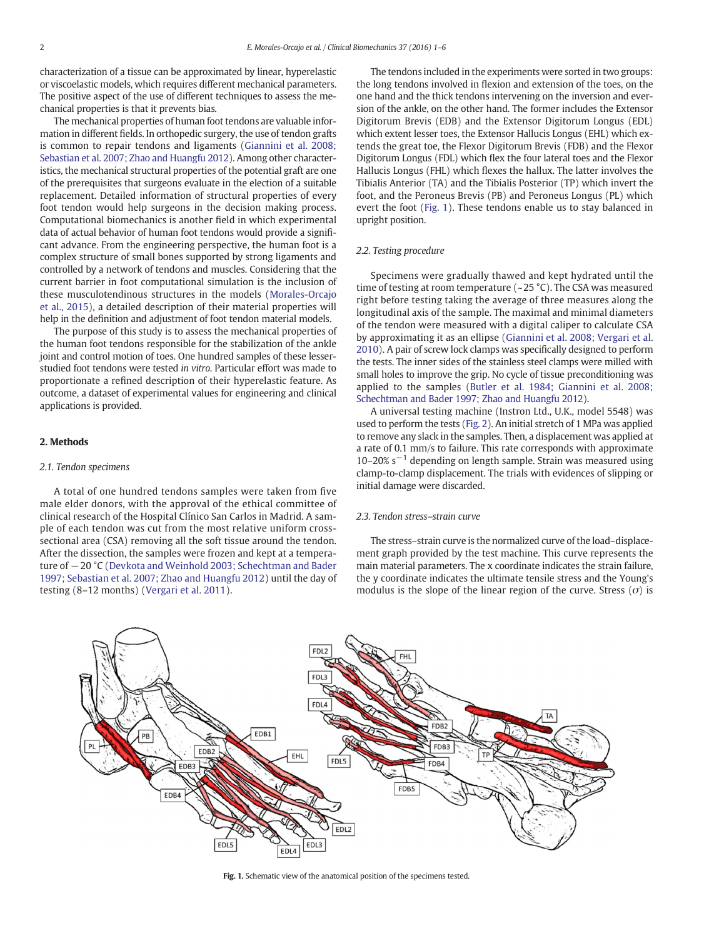<span id="page-1-0"></span>characterization of a tissue can be approximated by linear, hyperelastic or viscoelastic models, which requires different mechanical parameters. The positive aspect of the use of different techniques to assess the mechanical properties is that it prevents bias.

The mechanical properties of human foot tendons are valuable information in different fields. In orthopedic surgery, the use of tendon grafts is common to repair tendons and ligaments [\(Giannini et al. 2008;](#page-5-0) [Sebastian et al. 2007; Zhao and Huangfu 2012\)](#page-5-0). Among other characteristics, the mechanical structural properties of the potential graft are one of the prerequisites that surgeons evaluate in the election of a suitable replacement. Detailed information of structural properties of every foot tendon would help surgeons in the decision making process. Computational biomechanics is another field in which experimental data of actual behavior of human foot tendons would provide a significant advance. From the engineering perspective, the human foot is a complex structure of small bones supported by strong ligaments and controlled by a network of tendons and muscles. Considering that the current barrier in foot computational simulation is the inclusion of these musculotendinous structures in the models [\(Morales-Orcajo](#page-5-0) [et al., 2015](#page-5-0)), a detailed description of their material properties will help in the definition and adjustment of foot tendon material models.

The purpose of this study is to assess the mechanical properties of the human foot tendons responsible for the stabilization of the ankle joint and control motion of toes. One hundred samples of these lesserstudied foot tendons were tested in vitro. Particular effort was made to proportionate a refined description of their hyperelastic feature. As outcome, a dataset of experimental values for engineering and clinical applications is provided.

## 2. Methods

## 2.1. Tendon specimens

A total of one hundred tendons samples were taken from five male elder donors, with the approval of the ethical committee of clinical research of the Hospital Clínico San Carlos in Madrid. A sample of each tendon was cut from the most relative uniform crosssectional area (CSA) removing all the soft tissue around the tendon. After the dissection, the samples were frozen and kept at a temperature of −20 °C [\(Devkota and Weinhold 2003; Schechtman and Bader](#page-5-0) [1997; Sebastian et al. 2007; Zhao and Huangfu 2012\)](#page-5-0) until the day of testing (8–12 months) [\(Vergari et al. 2011](#page-5-0)).

The tendons included in the experiments were sorted in two groups: the long tendons involved in flexion and extension of the toes, on the one hand and the thick tendons intervening on the inversion and eversion of the ankle, on the other hand. The former includes the Extensor Digitorum Brevis (EDB) and the Extensor Digitorum Longus (EDL) which extent lesser toes, the Extensor Hallucis Longus (EHL) which extends the great toe, the Flexor Digitorum Brevis (FDB) and the Flexor Digitorum Longus (FDL) which flex the four lateral toes and the Flexor Hallucis Longus (FHL) which flexes the hallux. The latter involves the Tibialis Anterior (TA) and the Tibialis Posterior (TP) which invert the foot, and the Peroneus Brevis (PB) and Peroneus Longus (PL) which evert the foot (Fig. 1). These tendons enable us to stay balanced in upright position.

# 2.2. Testing procedure

Specimens were gradually thawed and kept hydrated until the time of testing at room temperature (~ 25 °C). The CSA was measured right before testing taking the average of three measures along the longitudinal axis of the sample. The maximal and minimal diameters of the tendon were measured with a digital caliper to calculate CSA by approximating it as an ellipse [\(Giannini et al. 2008; Vergari et al.](#page-5-0) [2010](#page-5-0)). A pair of screw lock clamps was specifically designed to perform the tests. The inner sides of the stainless steel clamps were milled with small holes to improve the grip. No cycle of tissue preconditioning was applied to the samples ([Butler et al. 1984; Giannini et al. 2008;](#page-5-0) [Schechtman and Bader 1997; Zhao and Huangfu 2012\)](#page-5-0).

A universal testing machine (Instron Ltd., U.K., model 5548) was used to perform the tests [\(Fig. 2](#page-2-0)). An initial stretch of 1 MPa was applied to remove any slack in the samples. Then, a displacement was applied at a rate of 0.1 mm/s to failure. This rate corresponds with approximate 10–20% s−<sup>1</sup> depending on length sample. Strain was measured using clamp-to-clamp displacement. The trials with evidences of slipping or initial damage were discarded.

#### 2.3. Tendon stress–strain curve

The stress–strain curve is the normalized curve of the load–displacement graph provided by the test machine. This curve represents the main material parameters. The x coordinate indicates the strain failure, the y coordinate indicates the ultimate tensile stress and the Young's modulus is the slope of the linear region of the curve. Stress  $(\sigma)$  is



Fig. 1. Schematic view of the anatomical position of the specimens tested.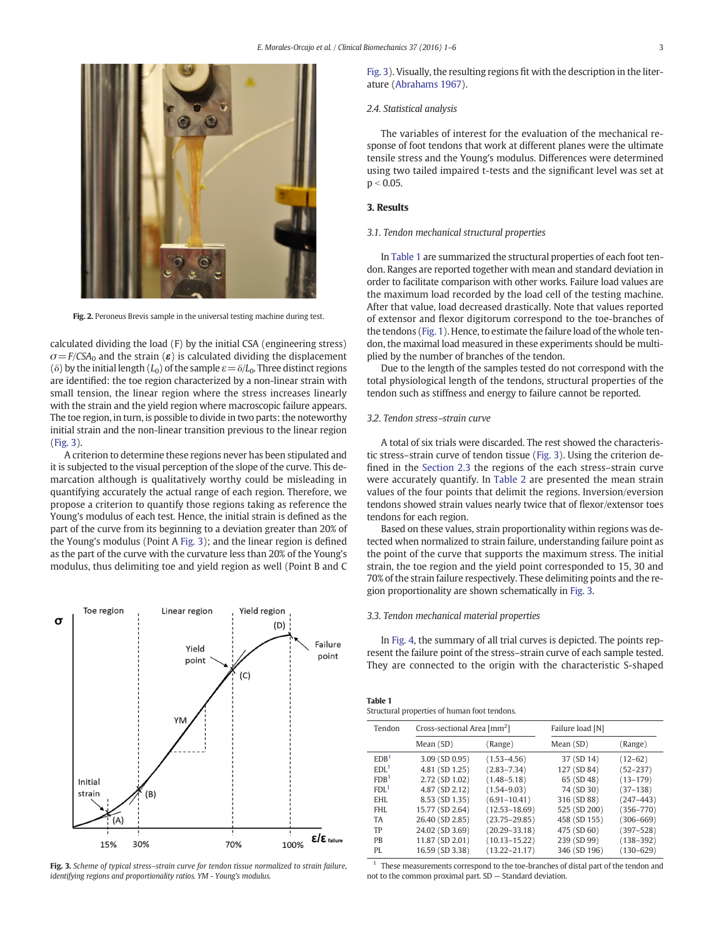<span id="page-2-0"></span>

Fig. 2. Peroneus Brevis sample in the universal testing machine during test.

calculated dividing the load (F) by the initial CSA (engineering stress)  $\sigma = F/CSA_0$  and the strain ( $\varepsilon$ ) is calculated dividing the displacement (δ) by the initial length ( $L_0$ ) of the sample  $\varepsilon = \delta / L_0$ . Three distinct regions are identified: the toe region characterized by a non-linear strain with small tension, the linear region where the stress increases linearly with the strain and the yield region where macroscopic failure appears. The toe region, in turn, is possible to divide in two parts: the noteworthy initial strain and the non-linear transition previous to the linear region (Fig. 3).

A criterion to determine these regions never has been stipulated and it is subjected to the visual perception of the slope of the curve. This demarcation although is qualitatively worthy could be misleading in quantifying accurately the actual range of each region. Therefore, we propose a criterion to quantify those regions taking as reference the Young's modulus of each test. Hence, the initial strain is defined as the part of the curve from its beginning to a deviation greater than 20% of the Young's modulus (Point A Fig. 3); and the linear region is defined as the part of the curve with the curvature less than 20% of the Young's modulus, thus delimiting toe and yield region as well (Point B and C



Fig. 3. Scheme of typical stress-strain curve for tendon tissue normalized to strain failure, identifying regions and proportionality ratios. YM - Young's modulus.

Fig. 3). Visually, the resulting regions fit with the description in the literature ([Abrahams 1967\)](#page-5-0).

# 2.4. Statistical analysis

The variables of interest for the evaluation of the mechanical response of foot tendons that work at different planes were the ultimate tensile stress and the Young's modulus. Differences were determined using two tailed impaired t-tests and the significant level was set at  $p < 0.05$ .

# 3. Results

# 3.1. Tendon mechanical structural properties

In Table 1 are summarized the structural properties of each foot tendon. Ranges are reported together with mean and standard deviation in order to facilitate comparison with other works. Failure load values are the maximum load recorded by the load cell of the testing machine. After that value, load decreased drastically. Note that values reported of extensor and flexor digitorum correspond to the toe-branches of the tendons [\(Fig. 1](#page-1-0)). Hence, to estimate the failure load of the whole tendon, the maximal load measured in these experiments should be multiplied by the number of branches of the tendon.

Due to the length of the samples tested do not correspond with the total physiological length of the tendons, structural properties of the tendon such as stiffness and energy to failure cannot be reported.

## 3.2. Tendon stress–strain curve

A total of six trials were discarded. The rest showed the characteristic stress–strain curve of tendon tissue (Fig. 3). Using the criterion defined in the [Section 2.3](#page-1-0) the regions of the each stress–strain curve were accurately quantify. In [Table 2](#page-3-0) are presented the mean strain values of the four points that delimit the regions. Inversion/eversion tendons showed strain values nearly twice that of flexor/extensor toes tendons for each region.

Based on these values, strain proportionality within regions was detected when normalized to strain failure, understanding failure point as the point of the curve that supports the maximum stress. The initial strain, the toe region and the yield point corresponded to 15, 30 and 70% of the strain failure respectively. These delimiting points and the region proportionality are shown schematically in Fig. 3.

#### 3.3. Tendon mechanical material properties

In [Fig. 4](#page-3-0), the summary of all trial curves is depicted. The points represent the failure point of the stress–strain curve of each sample tested. They are connected to the origin with the characteristic S-shaped

Table 1 Structural properties of human foot tendons.

| Tendon           | Cross-sectional Area [mm <sup>2</sup> ] |                   | Failure load [N] |               |
|------------------|-----------------------------------------|-------------------|------------------|---------------|
|                  | Mean (SD)                               | (Range)           | Mean (SD)        | (Range)       |
| EDB <sup>1</sup> | 3.09 (SD 0.95)                          | $(1.53 - 4.56)$   | 37 (SD 14)       | $(12-62)$     |
| EDL <sup>1</sup> | 4.81 (SD 1.25)                          | $(2.83 - 7.34)$   | 127 (SD 84)      | $(52 - 237)$  |
| FDB <sup>1</sup> | 2.72 (SD 1.02)                          | $(1.48 - 5.18)$   | 65 (SD 48)       | $(13 - 179)$  |
| FDL <sup>1</sup> | 4.87 (SD 2.12)                          | $(1.54 - 9.03)$   | 74 (SD 30)       | $(37-138)$    |
| EHI.             | 8.53 (SD 1.35)                          | $(6.91 - 10.41)$  | 316 (SD 88)      | $(247 - 443)$ |
| <b>FHL</b>       | 15.77 (SD 2.64)                         | $(12.53 - 18.69)$ | 525 (SD 200)     | $(356 - 770)$ |
| TA               | 26.40 (SD 2.85)                         | $(23.75 - 29.85)$ | 458 (SD 155)     | $(306 - 669)$ |
| TP               | 24.02 (SD 3.69)                         | $(20.29 - 33.18)$ | 475 (SD 60)      | $(397 - 528)$ |
| PB               | 11.87 (SD 2.01)                         | $(10.13 - 15.22)$ | 239 (SD 99)      | $(138 - 392)$ |
| PI.              | 16.59 (SD 3.38)                         | $(13.22 - 21.17)$ | 346 (SD 196)     | $(130 - 629)$ |

These measurements correspond to the toe-branches of distal part of the tendon and not to the common proximal part. SD — Standard deviation.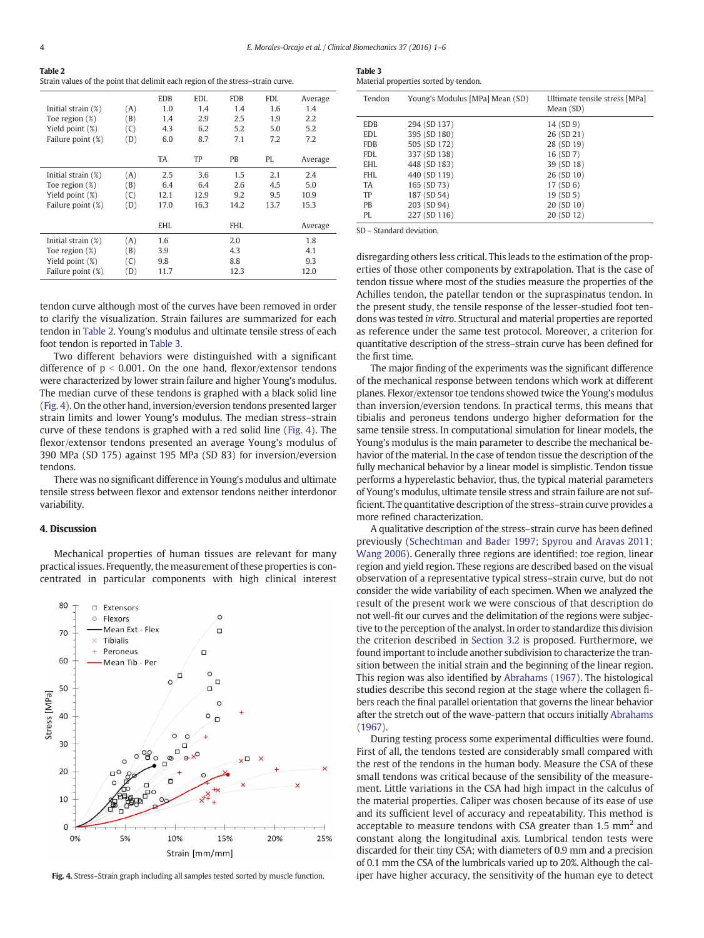<span id="page-3-0"></span>

| Table 2                                                                         |
|---------------------------------------------------------------------------------|
| Strain values of the point that delimit each region of the stress-strain curve. |

|                          |     | <b>EDB</b> | EDI. | <b>FDB</b> | FDI. | Average |
|--------------------------|-----|------------|------|------------|------|---------|
| Initial strain $(\%)$    | (A) | 1.0        | 1.4  | 1.4        | 1.6  | 1.4     |
| Toe region (%)           | (B) | 1.4        | 2.9  | 2.5        | 1.9  | 2.2     |
| Yield point (%)          | (C) | 4.3        | 6.2  | 5.2        | 5.0  | 5.2     |
| Failure point (%)        | (D) | 6.0        | 8.7  | 7.1        | 7.2  | 7.2     |
|                          |     |            |      |            |      |         |
|                          |     | TA         | TP   | PB         | PL   | Average |
| Initial strain $(\%)$    | (A) | 2.5        | 3.6  | 1.5        | 2.1  | 2.4     |
| Toe region (%)           | (B) | 6.4        | 6.4  | 2.6        | 4.5  | 5.0     |
| Yield point (%)          | (C) | 12.1       | 12.9 | 9.2        | 9.5  | 10.9    |
| Failure point (%)        | (D) | 17.0       | 16.3 | 14.2       | 13.7 | 15.3    |
|                          |     |            |      |            |      |         |
|                          |     | EHL        |      | <b>FHL</b> |      | Average |
| Initial strain $(\%)$    | (A) | 1.6        |      | 2.0        |      | 1.8     |
| Toe region (%)           | (B) | 3.9        |      | 4.3        |      | 4.1     |
| Yield point (%)<br>(C)   |     | 9.8        |      | 8.8        |      | 9.3     |
| Failure point (%)<br>(D) |     | 11.7       |      | 12.3       |      | 12.0    |

tendon curve although most of the curves have been removed in order to clarify the visualization. Strain failures are summarized for each tendon in Table 2. Young's modulus and ultimate tensile stress of each foot tendon is reported in Table 3.

Two different behaviors were distinguished with a significant difference of  $p < 0.001$ . On the one hand, flexor/extensor tendons were characterized by lower strain failure and higher Young's modulus. The median curve of these tendons is graphed with a black solid line (Fig. 4). On the other hand, inversion/eversion tendons presented larger strain limits and lower Young's modulus. The median stress–strain curve of these tendons is graphed with a red solid line (Fig. 4). The flexor/extensor tendons presented an average Young's modulus of 390 MPa (SD 175) against 195 MPa (SD 83) for inversion/eversion tendons.

There was no significant difference in Young's modulus and ultimate tensile stress between flexor and extensor tendons neither interdonor variability.

#### 4. Discussion

Mechanical properties of human tissues are relevant for many practical issues. Frequently, the measurement of these properties is concentrated in particular components with high clinical interest



Fig. 4. Stress–Strain graph including all samples tested sorted by muscle function.

| Table 3 |                                       |  |
|---------|---------------------------------------|--|
|         | Material properties sorted by tendon. |  |

| Tendon     | Young's Modulus [MPa] Mean (SD) | Ultimate tensile stress [MPa]<br>Mean (SD) |
|------------|---------------------------------|--------------------------------------------|
| <b>EDB</b> | 294 (SD 137)                    | 14 (SD 9)                                  |
| EDL.       | 395 (SD 180)                    | 26 (SD 21)                                 |
| <b>FDB</b> | 505 (SD 172)                    | 28 (SD 19)                                 |
| <b>FDL</b> | 337 (SD 138)                    | 16 (SD 7)                                  |
| EHL        | 448 (SD 183)                    | 39 (SD 18)                                 |
| <b>FHL</b> | 440 (SD 119)                    | 26 (SD 10)                                 |
| TA         | 165 (SD 73)                     | 17 (SD 6)                                  |
| TP         | 187 (SD 54)                     | 19 (SD 5)                                  |
| <b>PB</b>  | 203 (SD 94)                     | 20 (SD 10)                                 |
| PL         | 227 (SD 116)                    | 20 (SD 12)                                 |

SD – Standard deviation.

disregarding others less critical. This leads to the estimation of the properties of those other components by extrapolation. That is the case of tendon tissue where most of the studies measure the properties of the Achilles tendon, the patellar tendon or the supraspinatus tendon. In the present study, the tensile response of the lesser-studied foot tendons was tested in vitro. Structural and material properties are reported as reference under the same test protocol. Moreover, a criterion for quantitative description of the stress–strain curve has been defined for the first time.

The major finding of the experiments was the significant difference of the mechanical response between tendons which work at different planes. Flexor/extensor toe tendons showed twice the Young's modulus than inversion/eversion tendons. In practical terms, this means that tibialis and peroneus tendons undergo higher deformation for the same tensile stress. In computational simulation for linear models, the Young's modulus is the main parameter to describe the mechanical behavior of the material. In the case of tendon tissue the description of the fully mechanical behavior by a linear model is simplistic. Tendon tissue performs a hyperelastic behavior, thus, the typical material parameters of Young's modulus, ultimate tensile stress and strain failure are not sufficient. The quantitative description of the stress–strain curve provides a more refined characterization.

A qualitative description of the stress–strain curve has been defined previously ([Schechtman and Bader 1997; Spyrou and Aravas 2011;](#page-5-0) [Wang 2006](#page-5-0)). Generally three regions are identified: toe region, linear region and yield region. These regions are described based on the visual observation of a representative typical stress–strain curve, but do not consider the wide variability of each specimen. When we analyzed the result of the present work we were conscious of that description do not well-fit our curves and the delimitation of the regions were subjective to the perception of the analyst. In order to standardize this division the criterion described in [Section 3.2](#page-2-0) is proposed. Furthermore, we found important to include another subdivision to characterize the transition between the initial strain and the beginning of the linear region. This region was also identified by [Abrahams \(1967\)](#page-5-0). The histological studies describe this second region at the stage where the collagen fibers reach the final parallel orientation that governs the linear behavior after the stretch out of the wave-pattern that occurs initially [Abrahams](#page-5-0) [\(1967\)](#page-5-0).

During testing process some experimental difficulties were found. First of all, the tendons tested are considerably small compared with the rest of the tendons in the human body. Measure the CSA of these small tendons was critical because of the sensibility of the measurement. Little variations in the CSA had high impact in the calculus of the material properties. Caliper was chosen because of its ease of use and its sufficient level of accuracy and repeatability. This method is acceptable to measure tendons with CSA greater than  $1.5 \text{ mm}^2$  and constant along the longitudinal axis. Lumbrical tendon tests were discarded for their tiny CSA; with diameters of 0.9 mm and a precision of 0.1 mm the CSA of the lumbricals varied up to 20%. Although the caliper have higher accuracy, the sensitivity of the human eye to detect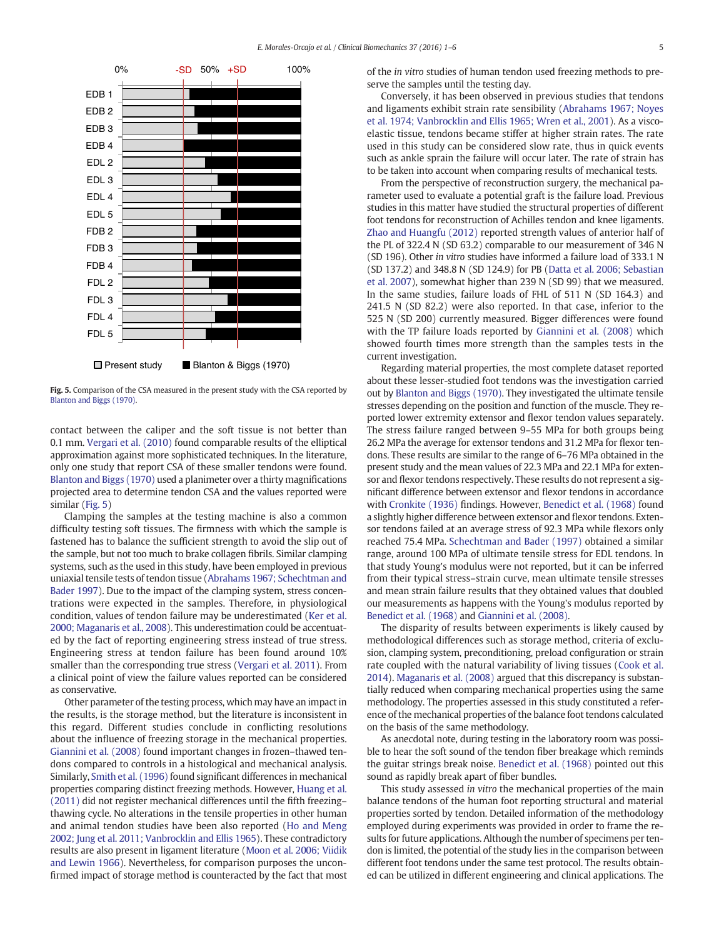

Fig. 5. Comparison of the CSA measured in the present study with the CSA reported by [Blanton and Biggs \(1970\).](#page-5-0)

contact between the caliper and the soft tissue is not better than 0.1 mm. [Vergari et al. \(2010\)](#page-5-0) found comparable results of the elliptical approximation against more sophisticated techniques. In the literature, only one study that report CSA of these smaller tendons were found. [Blanton and Biggs \(1970\)](#page-5-0) used a planimeter over a thirty magnifications projected area to determine tendon CSA and the values reported were similar (Fig. 5)

Clamping the samples at the testing machine is also a common difficulty testing soft tissues. The firmness with which the sample is fastened has to balance the sufficient strength to avoid the slip out of the sample, but not too much to brake collagen fibrils. Similar clamping systems, such as the used in this study, have been employed in previous uniaxial tensile tests of tendon tissue ([Abrahams 1967; Schechtman and](#page-5-0) [Bader 1997\)](#page-5-0). Due to the impact of the clamping system, stress concentrations were expected in the samples. Therefore, in physiological condition, values of tendon failure may be underestimated [\(Ker et al.](#page-5-0) [2000; Maganaris et al., 2008](#page-5-0)). This underestimation could be accentuated by the fact of reporting engineering stress instead of true stress. Engineering stress at tendon failure has been found around 10% smaller than the corresponding true stress [\(Vergari et al. 2011](#page-5-0)). From a clinical point of view the failure values reported can be considered as conservative.

Other parameter of the testing process, which may have an impact in the results, is the storage method, but the literature is inconsistent in this regard. Different studies conclude in conflicting resolutions about the influence of freezing storage in the mechanical properties. [Giannini et al. \(2008\)](#page-5-0) found important changes in frozen–thawed tendons compared to controls in a histological and mechanical analysis. Similarly, [Smith et al. \(1996\)](#page-5-0) found significant differences in mechanical properties comparing distinct freezing methods. However, [Huang et al.](#page-5-0) [\(2011\)](#page-5-0) did not register mechanical differences until the fifth freezing– thawing cycle. No alterations in the tensile properties in other human and animal tendon studies have been also reported ([Ho and Meng](#page-5-0) [2002; Jung et al. 2011; Vanbrocklin and Ellis 1965\)](#page-5-0). These contradictory results are also present in ligament literature [\(Moon et al. 2006; Viidik](#page-5-0) [and Lewin 1966](#page-5-0)). Nevertheless, for comparison purposes the unconfirmed impact of storage method is counteracted by the fact that most of the in vitro studies of human tendon used freezing methods to preserve the samples until the testing day.

Conversely, it has been observed in previous studies that tendons and ligaments exhibit strain rate sensibility [\(Abrahams 1967; Noyes](#page-5-0) [et al. 1974; Vanbrocklin and Ellis 1965; Wren et al., 2001\)](#page-5-0). As a viscoelastic tissue, tendons became stiffer at higher strain rates. The rate used in this study can be considered slow rate, thus in quick events such as ankle sprain the failure will occur later. The rate of strain has to be taken into account when comparing results of mechanical tests.

From the perspective of reconstruction surgery, the mechanical parameter used to evaluate a potential graft is the failure load. Previous studies in this matter have studied the structural properties of different foot tendons for reconstruction of Achilles tendon and knee ligaments. [Zhao and Huangfu \(2012\)](#page-5-0) reported strength values of anterior half of the PL of 322.4 N (SD 63.2) comparable to our measurement of 346 N (SD 196). Other in vitro studies have informed a failure load of 333.1 N (SD 137.2) and 348.8 N (SD 124.9) for PB [\(Datta et al. 2006; Sebastian](#page-5-0) [et al. 2007](#page-5-0)), somewhat higher than 239 N (SD 99) that we measured. In the same studies, failure loads of FHL of 511 N (SD 164.3) and 241.5 N (SD 82.2) were also reported. In that case, inferior to the 525 N (SD 200) currently measured. Bigger differences were found with the TP failure loads reported by [Giannini et al. \(2008\)](#page-5-0) which showed fourth times more strength than the samples tests in the current investigation.

Regarding material properties, the most complete dataset reported about these lesser-studied foot tendons was the investigation carried out by [Blanton and Biggs \(1970\).](#page-5-0) They investigated the ultimate tensile stresses depending on the position and function of the muscle. They reported lower extremity extensor and flexor tendon values separately. The stress failure ranged between 9–55 MPa for both groups being 26.2 MPa the average for extensor tendons and 31.2 MPa for flexor tendons. These results are similar to the range of 6–76 MPa obtained in the present study and the mean values of 22.3 MPa and 22.1 MPa for extensor and flexor tendons respectively. These results do not represent a significant difference between extensor and flexor tendons in accordance with [Cronkite \(1936\)](#page-5-0) findings. However, [Benedict et al. \(1968\)](#page-5-0) found a slightly higher difference between extensor and flexor tendons. Extensor tendons failed at an average stress of 92.3 MPa while flexors only reached 75.4 MPa. [Schechtman and Bader \(1997\)](#page-5-0) obtained a similar range, around 100 MPa of ultimate tensile stress for EDL tendons. In that study Young's modulus were not reported, but it can be inferred from their typical stress–strain curve, mean ultimate tensile stresses and mean strain failure results that they obtained values that doubled our measurements as happens with the Young's modulus reported by [Benedict et al. \(1968\)](#page-5-0) and [Giannini et al. \(2008\).](#page-5-0)

The disparity of results between experiments is likely caused by methodological differences such as storage method, criteria of exclusion, clamping system, preconditioning, preload configuration or strain rate coupled with the natural variability of living tissues [\(Cook et al.](#page-5-0) [2014](#page-5-0)). [Maganaris et al. \(2008\)](#page-5-0) argued that this discrepancy is substantially reduced when comparing mechanical properties using the same methodology. The properties assessed in this study constituted a reference of the mechanical properties of the balance foot tendons calculated on the basis of the same methodology.

As anecdotal note, during testing in the laboratory room was possible to hear the soft sound of the tendon fiber breakage which reminds the guitar strings break noise. [Benedict et al. \(1968\)](#page-5-0) pointed out this sound as rapidly break apart of fiber bundles.

This study assessed in vitro the mechanical properties of the main balance tendons of the human foot reporting structural and material properties sorted by tendon. Detailed information of the methodology employed during experiments was provided in order to frame the results for future applications. Although the number of specimens per tendon is limited, the potential of the study lies in the comparison between different foot tendons under the same test protocol. The results obtained can be utilized in different engineering and clinical applications. The